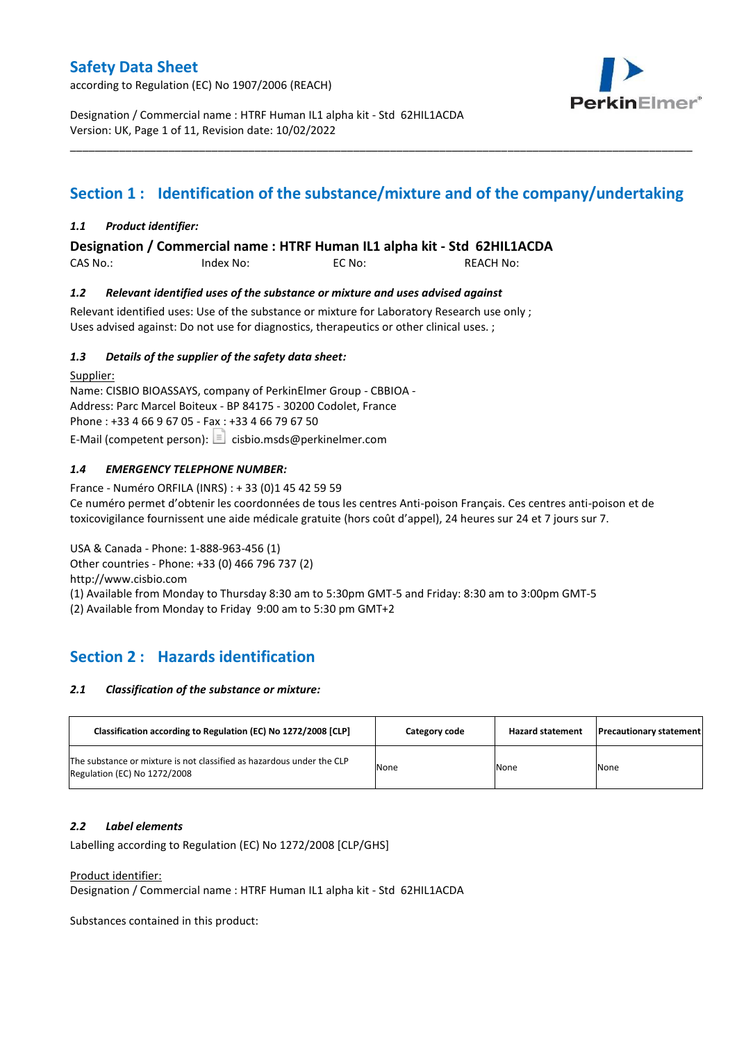according to Regulation (EC) No 1907/2006 (REACH)



Designation / Commercial name : HTRF Human IL1 alpha kit - Std 62HIL1ACDA Version: UK, Page 1 of 11, Revision date: 10/02/2022

# **Section 1 : Identification of the substance/mixture and of the company/undertaking**

\_\_\_\_\_\_\_\_\_\_\_\_\_\_\_\_\_\_\_\_\_\_\_\_\_\_\_\_\_\_\_\_\_\_\_\_\_\_\_\_\_\_\_\_\_\_\_\_\_\_\_\_\_\_\_\_\_\_\_\_\_\_\_\_\_\_\_\_\_\_\_\_\_\_\_\_\_\_\_\_\_\_\_\_\_\_\_\_\_\_\_\_\_\_\_\_\_\_\_\_\_

### *1.1 Product identifier:*

**Designation / Commercial name : HTRF Human IL1 alpha kit - Std 62HIL1ACDA** 

CAS No.: Index No: EC No: REACH No:

### *1.2 Relevant identified uses of the substance or mixture and uses advised against*

Relevant identified uses: Use of the substance or mixture for Laboratory Research use only ; Uses advised against: Do not use for diagnostics, therapeutics or other clinical uses. ;

### *1.3 Details of the supplier of the safety data sheet:*

Supplier: Name: CISBIO BIOASSAYS, company of PerkinElmer Group - CBBIOA - Address: Parc Marcel Boiteux - BP 84175 - 30200 Codolet, France Phone : +33 4 66 9 67 05 - Fax : +33 4 66 79 67 50 E-Mail (competent person):  $\boxed{\equiv}$  cisbio.msds@perkinelmer.com

### *1.4 EMERGENCY TELEPHONE NUMBER:*

France - Numéro ORFILA (INRS) : + 33 (0)1 45 42 59 59 Ce numéro permet d'obtenir les coordonnées de tous les centres Anti-poison Français. Ces centres anti-poison et de toxicovigilance fournissent une aide médicale gratuite (hors coût d'appel), 24 heures sur 24 et 7 jours sur 7.

USA & Canada - Phone: 1-888-963-456 (1) Other countries - Phone: +33 (0) 466 796 737 (2)

http://www.cisbio.com

(1) Available from Monday to Thursday 8:30 am to 5:30pm GMT-5 and Friday: 8:30 am to 3:00pm GMT-5

(2) Available from Monday to Friday 9:00 am to 5:30 pm GMT+2

# **Section 2 : Hazards identification**

#### *2.1 Classification of the substance or mixture:*

| Classification according to Regulation (EC) No 1272/2008 [CLP]                                        | Category code | <b>Hazard statement</b> | <b>Precautionary statement</b> |
|-------------------------------------------------------------------------------------------------------|---------------|-------------------------|--------------------------------|
| The substance or mixture is not classified as hazardous under the CLP<br>Regulation (EC) No 1272/2008 | None          | None                    | None                           |

#### *2.2 Label elements*

Labelling according to Regulation (EC) No 1272/2008 [CLP/GHS]

Product identifier:

Designation / Commercial name : HTRF Human IL1 alpha kit - Std 62HIL1ACDA

Substances contained in this product: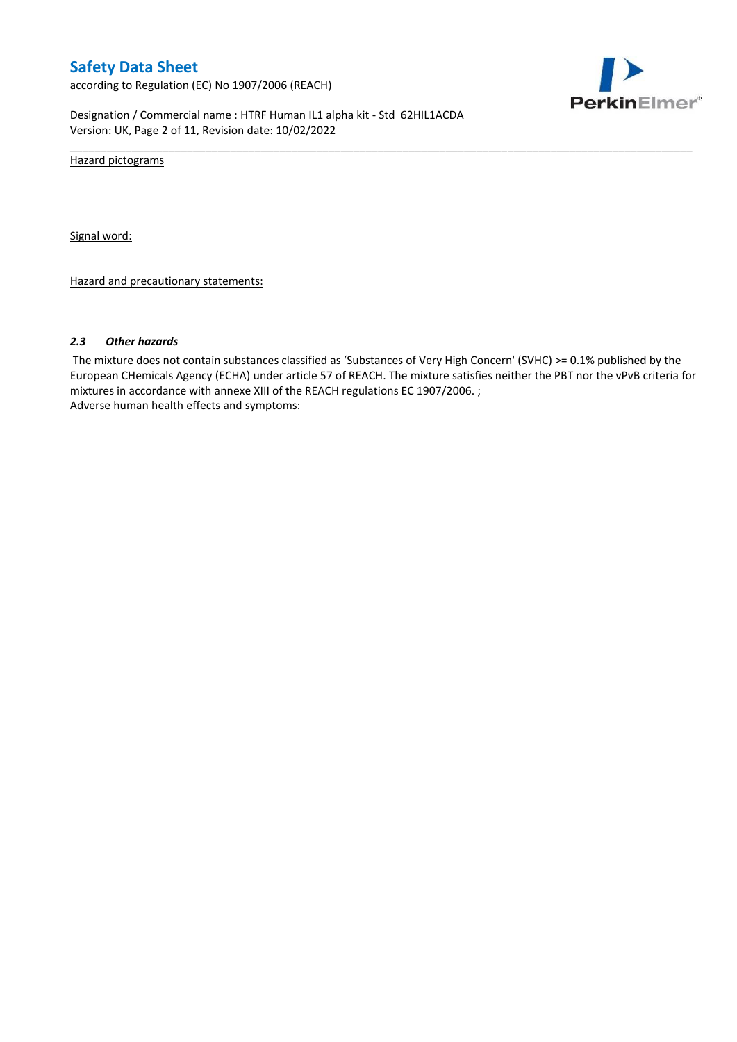according to Regulation (EC) No 1907/2006 (REACH)



Designation / Commercial name : HTRF Human IL1 alpha kit - Std 62HIL1ACDA Version: UK, Page 2 of 11, Revision date: 10/02/2022

Hazard pictograms

Signal word:

Hazard and precautionary statements:

#### *2.3 Other hazards*

The mixture does not contain substances classified as 'Substances of Very High Concern' (SVHC) >= 0.1% published by the European CHemicals Agency (ECHA) under article 57 of REACH. The mixture satisfies neither the PBT nor the vPvB criteria for mixtures in accordance with annexe XIII of the REACH regulations EC 1907/2006. ; Adverse human health effects and symptoms:

\_\_\_\_\_\_\_\_\_\_\_\_\_\_\_\_\_\_\_\_\_\_\_\_\_\_\_\_\_\_\_\_\_\_\_\_\_\_\_\_\_\_\_\_\_\_\_\_\_\_\_\_\_\_\_\_\_\_\_\_\_\_\_\_\_\_\_\_\_\_\_\_\_\_\_\_\_\_\_\_\_\_\_\_\_\_\_\_\_\_\_\_\_\_\_\_\_\_\_\_\_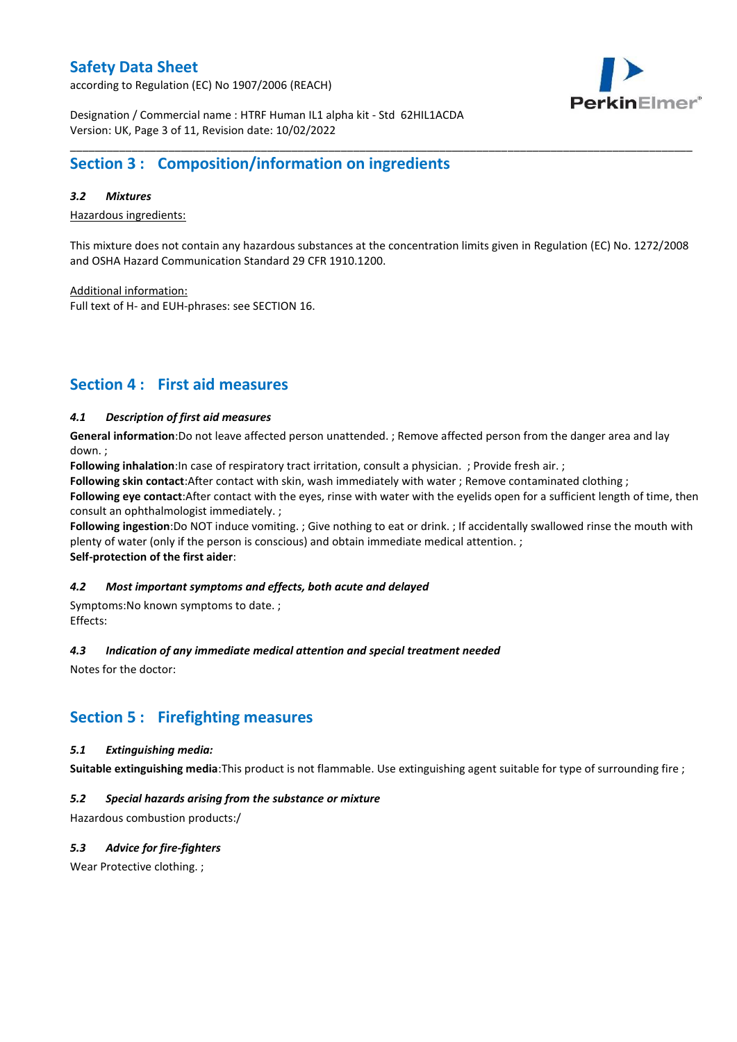according to Regulation (EC) No 1907/2006 (REACH)



Designation / Commercial name : HTRF Human IL1 alpha kit - Std 62HIL1ACDA Version: UK, Page 3 of 11, Revision date: 10/02/2022

## **Section 3 : Composition/information on ingredients**

### *3.2 Mixtures*

Hazardous ingredients:

This mixture does not contain any hazardous substances at the concentration limits given in Regulation (EC) No. 1272/2008 and OSHA Hazard Communication Standard 29 CFR 1910.1200.

\_\_\_\_\_\_\_\_\_\_\_\_\_\_\_\_\_\_\_\_\_\_\_\_\_\_\_\_\_\_\_\_\_\_\_\_\_\_\_\_\_\_\_\_\_\_\_\_\_\_\_\_\_\_\_\_\_\_\_\_\_\_\_\_\_\_\_\_\_\_\_\_\_\_\_\_\_\_\_\_\_\_\_\_\_\_\_\_\_\_\_\_\_\_\_\_\_\_\_\_\_

Additional information:

Full text of H- and EUH-phrases: see SECTION 16.

### **Section 4 : First aid measures**

### *4.1 Description of first aid measures*

**General information**:Do not leave affected person unattended. ; Remove affected person from the danger area and lay down. ;

**Following inhalation**:In case of respiratory tract irritation, consult a physician. ; Provide fresh air. ;

**Following skin contact**:After contact with skin, wash immediately with water ; Remove contaminated clothing ;

**Following eye contact**:After contact with the eyes, rinse with water with the eyelids open for a sufficient length of time, then consult an ophthalmologist immediately. ;

**Following ingestion**:Do NOT induce vomiting. ; Give nothing to eat or drink. ; If accidentally swallowed rinse the mouth with plenty of water (only if the person is conscious) and obtain immediate medical attention. ; **Self-protection of the first aider**:

#### *4.2 Most important symptoms and effects, both acute and delayed*

Symptoms:No known symptoms to date. ; Effects:

#### *4.3 Indication of any immediate medical attention and special treatment needed*

Notes for the doctor:

### **Section 5 : Firefighting measures**

#### *5.1 Extinguishing media:*

**Suitable extinguishing media**:This product is not flammable. Use extinguishing agent suitable for type of surrounding fire ;

### *5.2 Special hazards arising from the substance or mixture*

Hazardous combustion products:/

### *5.3 Advice for fire-fighters*

Wear Protective clothing.;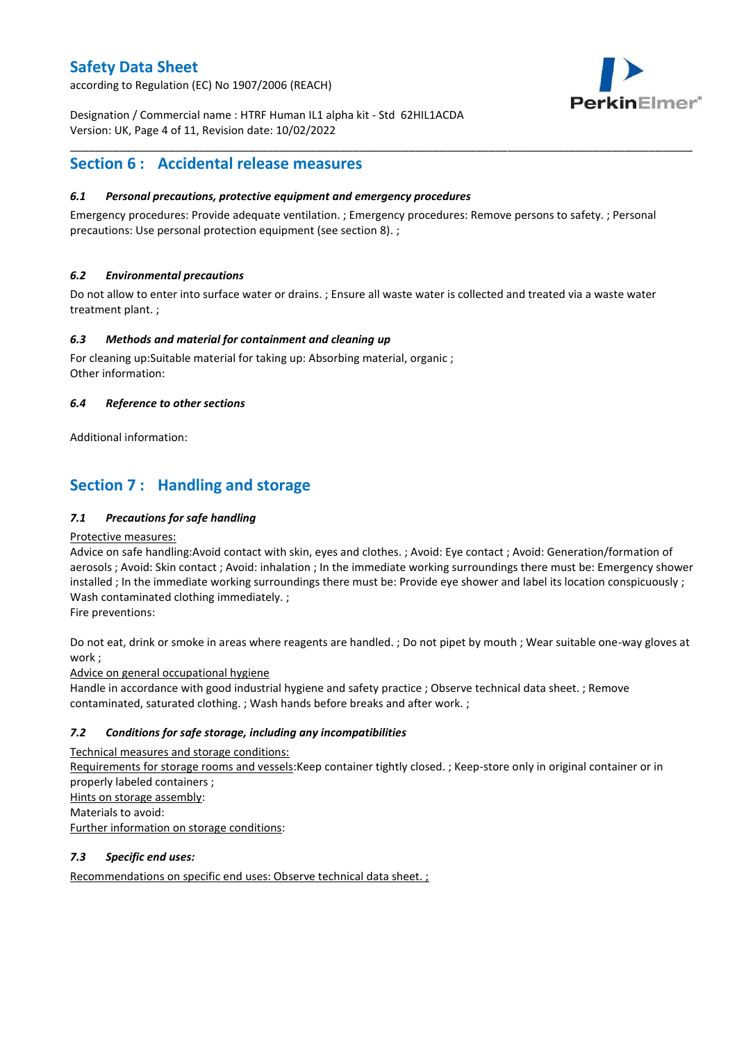according to Regulation (EC) No 1907/2006 (REACH)



Designation / Commercial name : HTRF Human IL1 alpha kit - Std 62HIL1ACDA Version: UK, Page 4 of 11, Revision date: 10/02/2022

## **Section 6 : Accidental release measures**

### *6.1 Personal precautions, protective equipment and emergency procedures*

Emergency procedures: Provide adequate ventilation. ; Emergency procedures: Remove persons to safety. ; Personal precautions: Use personal protection equipment (see section 8). ;

\_\_\_\_\_\_\_\_\_\_\_\_\_\_\_\_\_\_\_\_\_\_\_\_\_\_\_\_\_\_\_\_\_\_\_\_\_\_\_\_\_\_\_\_\_\_\_\_\_\_\_\_\_\_\_\_\_\_\_\_\_\_\_\_\_\_\_\_\_\_\_\_\_\_\_\_\_\_\_\_\_\_\_\_\_\_\_\_\_\_\_\_\_\_\_\_\_\_\_\_\_

### *6.2 Environmental precautions*

Do not allow to enter into surface water or drains. ; Ensure all waste water is collected and treated via a waste water treatment plant. ;

### *6.3 Methods and material for containment and cleaning up*

For cleaning up:Suitable material for taking up: Absorbing material, organic ; Other information:

### *6.4 Reference to other sections*

Additional information:

# **Section 7 : Handling and storage**

### *7.1 Precautions for safe handling*

#### Protective measures:

Advice on safe handling:Avoid contact with skin, eyes and clothes. ; Avoid: Eye contact ; Avoid: Generation/formation of aerosols ; Avoid: Skin contact ; Avoid: inhalation ; In the immediate working surroundings there must be: Emergency shower installed ; In the immediate working surroundings there must be: Provide eye shower and label its location conspicuously ; Wash contaminated clothing immediately. ;

Fire preventions:

Do not eat, drink or smoke in areas where reagents are handled. ; Do not pipet by mouth ; Wear suitable one-way gloves at work ;

Advice on general occupational hygiene

Handle in accordance with good industrial hygiene and safety practice ; Observe technical data sheet. ; Remove contaminated, saturated clothing. ; Wash hands before breaks and after work. ;

### *7.2 Conditions for safe storage, including any incompatibilities*

Technical measures and storage conditions: Requirements for storage rooms and vessels:Keep container tightly closed. ; Keep-store only in original container or in properly labeled containers ; Hints on storage assembly: Materials to avoid: Further information on storage conditions:

### *7.3 Specific end uses:*

Recommendations on specific end uses: Observe technical data sheet. ;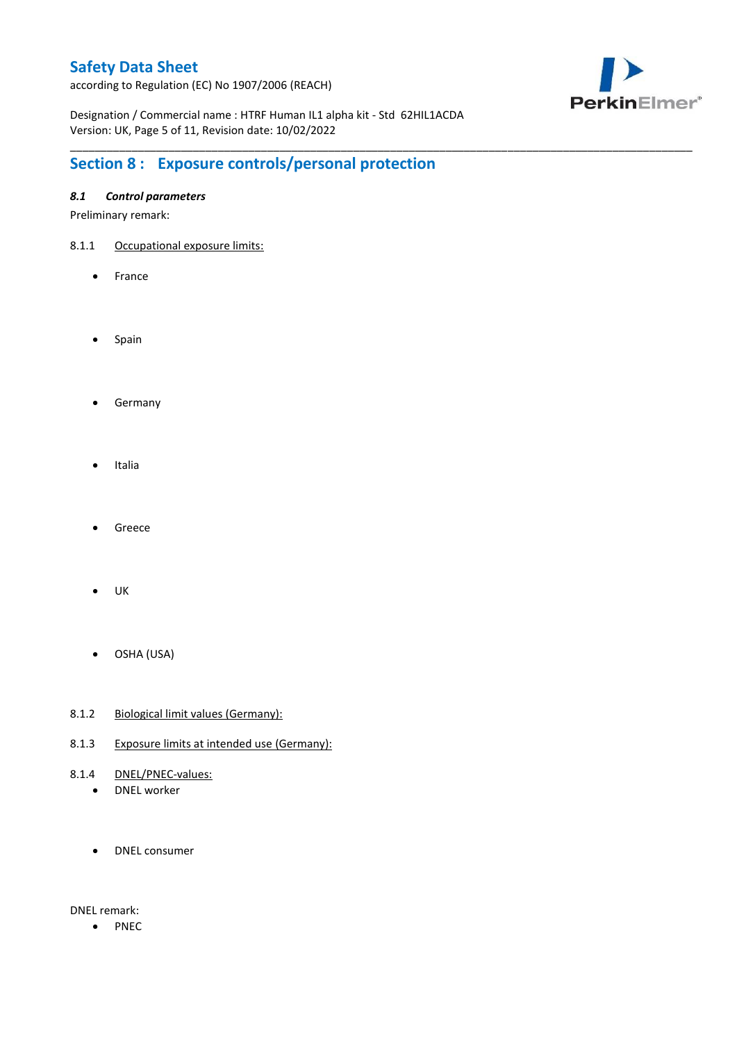according to Regulation (EC) No 1907/2006 (REACH)



Designation / Commercial name : HTRF Human IL1 alpha kit - Std 62HIL1ACDA Version: UK, Page 5 of 11, Revision date: 10/02/2022

\_\_\_\_\_\_\_\_\_\_\_\_\_\_\_\_\_\_\_\_\_\_\_\_\_\_\_\_\_\_\_\_\_\_\_\_\_\_\_\_\_\_\_\_\_\_\_\_\_\_\_\_\_\_\_\_\_\_\_\_\_\_\_\_\_\_\_\_\_\_\_\_\_\_\_\_\_\_\_\_\_\_\_\_\_\_\_\_\_\_\_\_\_\_\_\_\_\_\_\_\_

# **Section 8 : Exposure controls/personal protection**

### *8.1 Control parameters*

Preliminary remark:

- 8.1.1 Occupational exposure limits:
	- France
	- Spain
	- **•** Germany
	- Italia
	- Greece
	- $\bullet$  UK
	- OSHA (USA)
- 8.1.2 Biological limit values (Germany):
- 8.1.3 Exposure limits at intended use (Germany):
- 8.1.4 DNEL/PNEC-values:
	- DNEL worker
	- DNEL consumer

DNEL remark:

• PNEC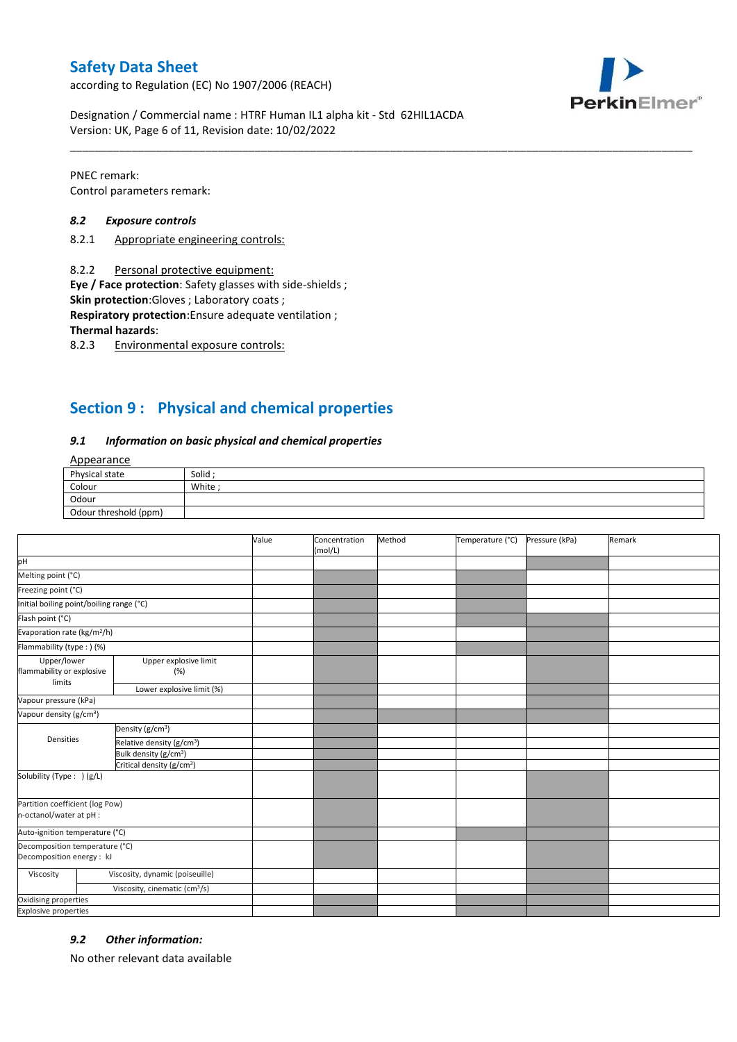according to Regulation (EC) No 1907/2006 (REACH)



Designation / Commercial name : HTRF Human IL1 alpha kit - Std 62HIL1ACDA Version: UK, Page 6 of 11, Revision date: 10/02/2022

PNEC remark: Control parameters remark:

#### *8.2 Exposure controls*

- 8.2.1 Appropriate engineering controls:
- 8.2.2 Personal protective equipment:

**Eye / Face protection**: Safety glasses with side-shields ;

**Skin protection**:Gloves ; Laboratory coats ;

**Respiratory protection**:Ensure adequate ventilation ;

**Thermal hazards**:

8.2.3 Environmental exposure controls:

## **Section 9 : Physical and chemical properties**

#### *9.1 Information on basic physical and chemical properties*

### **Annearance**

| Physical state        | Solid  |
|-----------------------|--------|
| Colour                | White; |
| Odour                 |        |
| Odour threshold (ppm) |        |

\_\_\_\_\_\_\_\_\_\_\_\_\_\_\_\_\_\_\_\_\_\_\_\_\_\_\_\_\_\_\_\_\_\_\_\_\_\_\_\_\_\_\_\_\_\_\_\_\_\_\_\_\_\_\_\_\_\_\_\_\_\_\_\_\_\_\_\_\_\_\_\_\_\_\_\_\_\_\_\_\_\_\_\_\_\_\_\_\_\_\_\_\_\_\_\_\_\_\_\_\_

|                                                             |                                           | Value | Concentration<br>(mol/L) | Method | Temperature (°C) | Pressure (kPa) | Remark |
|-------------------------------------------------------------|-------------------------------------------|-------|--------------------------|--------|------------------|----------------|--------|
| pH                                                          |                                           |       |                          |        |                  |                |        |
| Melting point (°C)                                          |                                           |       |                          |        |                  |                |        |
| Freezing point (°C)                                         |                                           |       |                          |        |                  |                |        |
| Initial boiling point/boiling range (°C)                    |                                           |       |                          |        |                  |                |        |
| Flash point (°C)                                            |                                           |       |                          |        |                  |                |        |
| Evaporation rate (kg/m <sup>2</sup> /h)                     |                                           |       |                          |        |                  |                |        |
| Flammability (type : ) (%)                                  |                                           |       |                          |        |                  |                |        |
| Upper/lower<br>flammability or explosive<br>limits          | Upper explosive limit<br>(%)              |       |                          |        |                  |                |        |
|                                                             | Lower explosive limit (%)                 |       |                          |        |                  |                |        |
| Vapour pressure (kPa)                                       |                                           |       |                          |        |                  |                |        |
| Vapour density (g/cm <sup>3</sup> )                         |                                           |       |                          |        |                  |                |        |
|                                                             | Density (g/cm <sup>3</sup> )              |       |                          |        |                  |                |        |
| Densities                                                   | Relative density (g/cm <sup>3</sup> )     |       |                          |        |                  |                |        |
|                                                             | Bulk density (g/cm <sup>3</sup> )         |       |                          |        |                  |                |        |
|                                                             | Critical density (g/cm <sup>3</sup> )     |       |                          |        |                  |                |        |
| Solubility (Type: ) (g/L)                                   |                                           |       |                          |        |                  |                |        |
| Partition coefficient (log Pow)<br>n-octanol/water at pH :  |                                           |       |                          |        |                  |                |        |
| Auto-ignition temperature (°C)                              |                                           |       |                          |        |                  |                |        |
| Decomposition temperature (°C)<br>Decomposition energy : kJ |                                           |       |                          |        |                  |                |        |
| Viscosity                                                   | Viscosity, dynamic (poiseuille)           |       |                          |        |                  |                |        |
|                                                             | Viscosity, cinematic (cm <sup>3</sup> /s) |       |                          |        |                  |                |        |
| Oxidising properties                                        |                                           |       |                          |        |                  |                |        |
| <b>Explosive properties</b>                                 |                                           |       |                          |        |                  |                |        |

#### *9.2 Other information:*

No other relevant data available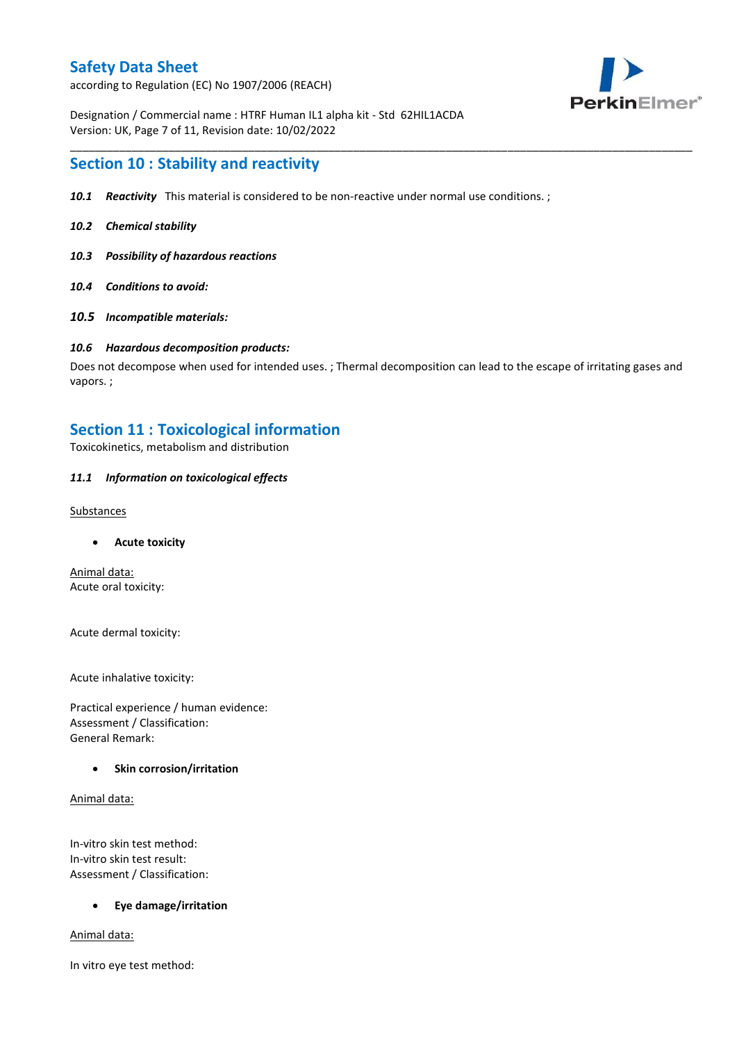according to Regulation (EC) No 1907/2006 (REACH)



Designation / Commercial name : HTRF Human IL1 alpha kit - Std 62HIL1ACDA Version: UK, Page 7 of 11, Revision date: 10/02/2022

### **Section 10 : Stability and reactivity**

- *10.1 Reactivity* This material is considered to be non-reactive under normal use conditions. ;
- *10.2 Chemical stability*
- *10.3 Possibility of hazardous reactions*
- *10.4 Conditions to avoid:*
- *10.5 Incompatible materials:*

#### *10.6 Hazardous decomposition products:*

Does not decompose when used for intended uses. ; Thermal decomposition can lead to the escape of irritating gases and vapors. ;

\_\_\_\_\_\_\_\_\_\_\_\_\_\_\_\_\_\_\_\_\_\_\_\_\_\_\_\_\_\_\_\_\_\_\_\_\_\_\_\_\_\_\_\_\_\_\_\_\_\_\_\_\_\_\_\_\_\_\_\_\_\_\_\_\_\_\_\_\_\_\_\_\_\_\_\_\_\_\_\_\_\_\_\_\_\_\_\_\_\_\_\_\_\_\_\_\_\_\_\_\_

### **Section 11 : Toxicological information**

Toxicokinetics, metabolism and distribution

#### *11.1 Information on toxicological effects*

#### **Substances**

**Acute toxicity**

Animal data: Acute oral toxicity:

Acute dermal toxicity:

Acute inhalative toxicity:

Practical experience / human evidence: Assessment / Classification: General Remark:

#### **Skin corrosion/irritation**

Animal data:

In-vitro skin test method: In-vitro skin test result: Assessment / Classification:

#### **Eye damage/irritation**

Animal data:

In vitro eye test method: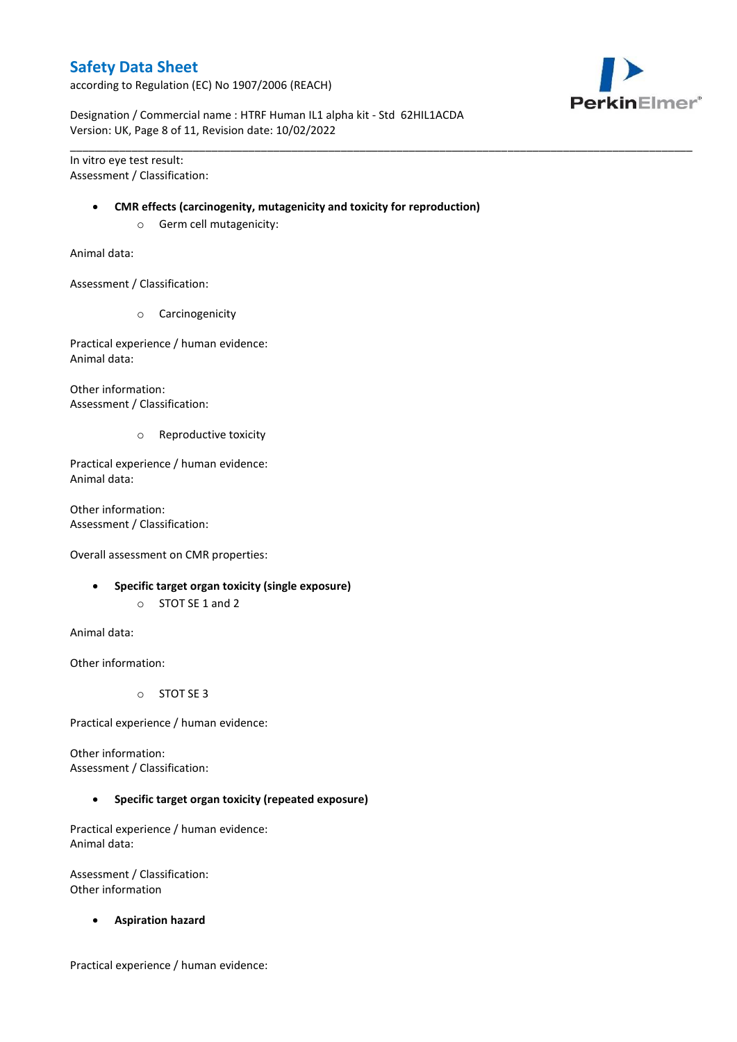according to Regulation (EC) No 1907/2006 (REACH)



Designation / Commercial name : HTRF Human IL1 alpha kit - Std 62HIL1ACDA Version: UK, Page 8 of 11, Revision date: 10/02/2022

In vitro eye test result: Assessment / Classification:

#### **CMR effects (carcinogenity, mutagenicity and toxicity for reproduction)**

\_\_\_\_\_\_\_\_\_\_\_\_\_\_\_\_\_\_\_\_\_\_\_\_\_\_\_\_\_\_\_\_\_\_\_\_\_\_\_\_\_\_\_\_\_\_\_\_\_\_\_\_\_\_\_\_\_\_\_\_\_\_\_\_\_\_\_\_\_\_\_\_\_\_\_\_\_\_\_\_\_\_\_\_\_\_\_\_\_\_\_\_\_\_\_\_\_\_\_\_\_

o Germ cell mutagenicity:

Animal data:

Assessment / Classification:

o Carcinogenicity

Practical experience / human evidence: Animal data:

Other information: Assessment / Classification:

o Reproductive toxicity

Practical experience / human evidence: Animal data:

Other information: Assessment / Classification:

Overall assessment on CMR properties:

- **Specific target organ toxicity (single exposure)**
	- o STOT SE 1 and 2

Animal data:

Other information:

o STOT SE 3

Practical experience / human evidence:

Other information: Assessment / Classification:

**Specific target organ toxicity (repeated exposure)**

Practical experience / human evidence: Animal data:

Assessment / Classification: Other information

**Aspiration hazard**

Practical experience / human evidence: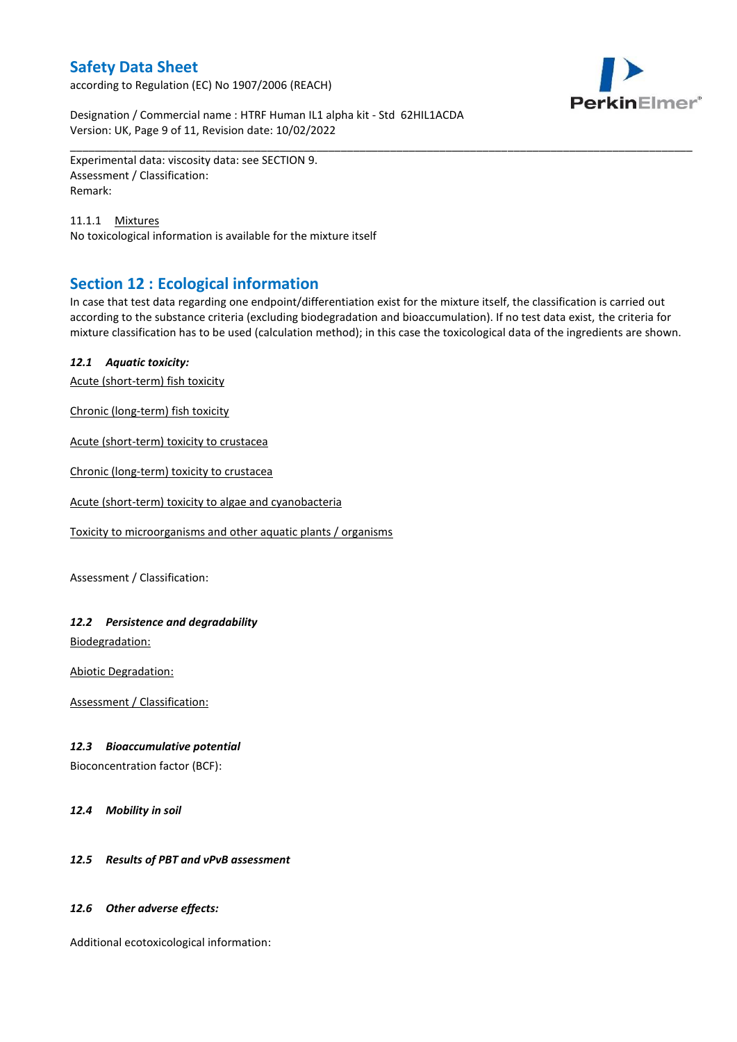according to Regulation (EC) No 1907/2006 (REACH)



Designation / Commercial name : HTRF Human IL1 alpha kit - Std 62HIL1ACDA Version: UK, Page 9 of 11, Revision date: 10/02/2022

Experimental data: viscosity data: see SECTION 9. Assessment / Classification: Remark:

11.1.1 Mixtures No toxicological information is available for the mixture itself

# **Section 12 : Ecological information**

In case that test data regarding one endpoint/differentiation exist for the mixture itself, the classification is carried out according to the substance criteria (excluding biodegradation and bioaccumulation). If no test data exist, the criteria for mixture classification has to be used (calculation method); in this case the toxicological data of the ingredients are shown.

\_\_\_\_\_\_\_\_\_\_\_\_\_\_\_\_\_\_\_\_\_\_\_\_\_\_\_\_\_\_\_\_\_\_\_\_\_\_\_\_\_\_\_\_\_\_\_\_\_\_\_\_\_\_\_\_\_\_\_\_\_\_\_\_\_\_\_\_\_\_\_\_\_\_\_\_\_\_\_\_\_\_\_\_\_\_\_\_\_\_\_\_\_\_\_\_\_\_\_\_\_

### *12.1 Aquatic toxicity:*

Acute (short-term) fish toxicity

Chronic (long-term) fish toxicity

Acute (short-term) toxicity to crustacea

Chronic (long-term) toxicity to crustacea

Acute (short-term) toxicity to algae and cyanobacteria

Toxicity to microorganisms and other aquatic plants / organisms

Assessment / Classification:

### *12.2 Persistence and degradability*

Biodegradation:

Abiotic Degradation:

Assessment / Classification:

#### *12.3 Bioaccumulative potential*

Bioconcentration factor (BCF):

*12.4 Mobility in soil*

### *12.5 Results of PBT and vPvB assessment*

#### *12.6 Other adverse effects:*

Additional ecotoxicological information: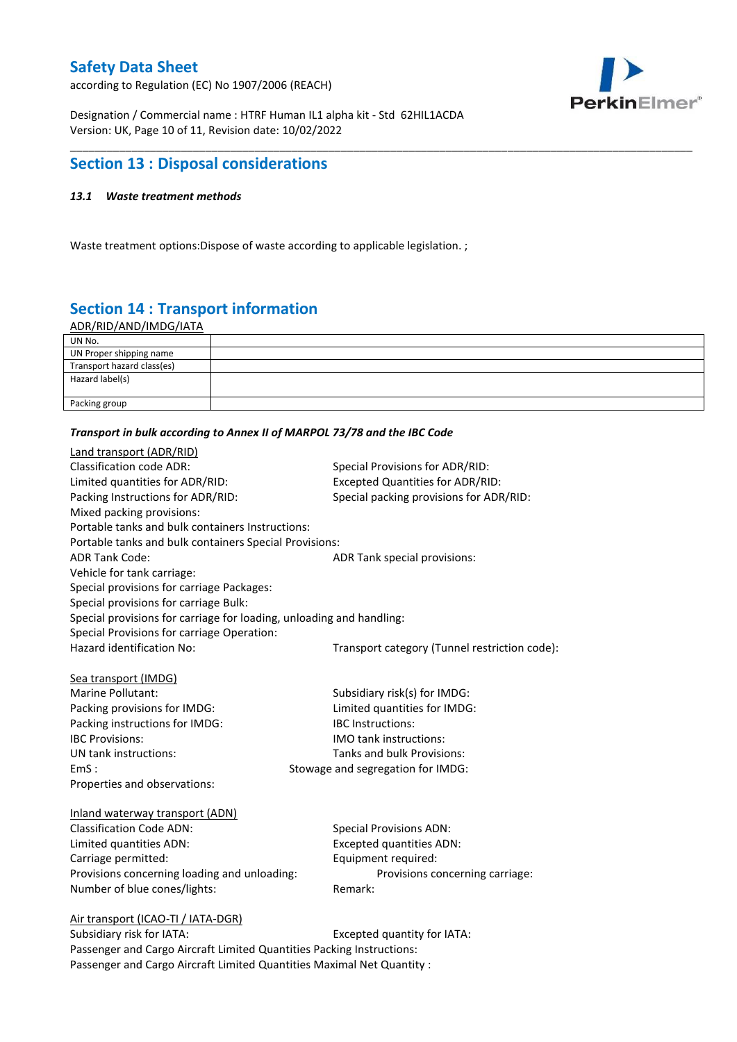according to Regulation (EC) No 1907/2006 (REACH)



Designation / Commercial name : HTRF Human IL1 alpha kit - Std 62HIL1ACDA Version: UK, Page 10 of 11, Revision date: 10/02/2022

### **Section 13 : Disposal considerations**

### *13.1 Waste treatment methods*

Waste treatment options:Dispose of waste according to applicable legislation. ;

# **Section 14 : Transport information**

ADR/RID/AND/IMDG/IATA

| UN No.                     |  |
|----------------------------|--|
| UN Proper shipping name    |  |
| Transport hazard class(es) |  |
| Hazard label(s)            |  |
|                            |  |
| Packing group              |  |

\_\_\_\_\_\_\_\_\_\_\_\_\_\_\_\_\_\_\_\_\_\_\_\_\_\_\_\_\_\_\_\_\_\_\_\_\_\_\_\_\_\_\_\_\_\_\_\_\_\_\_\_\_\_\_\_\_\_\_\_\_\_\_\_\_\_\_\_\_\_\_\_\_\_\_\_\_\_\_\_\_\_\_\_\_\_\_\_\_\_\_\_\_\_\_\_\_\_\_\_\_

#### *Transport in bulk according to Annex II of MARPOL 73/78 and the IBC Code*

| Land transport (ADR/RID)                                             |                                               |
|----------------------------------------------------------------------|-----------------------------------------------|
| <b>Classification code ADR:</b>                                      | Special Provisions for ADR/RID:               |
| Limited quantities for ADR/RID:                                      | <b>Excepted Quantities for ADR/RID:</b>       |
| Packing Instructions for ADR/RID:                                    | Special packing provisions for ADR/RID:       |
| Mixed packing provisions:                                            |                                               |
| Portable tanks and bulk containers Instructions:                     |                                               |
| Portable tanks and bulk containers Special Provisions:               |                                               |
| <b>ADR Tank Code:</b>                                                | ADR Tank special provisions:                  |
| Vehicle for tank carriage:                                           |                                               |
| Special provisions for carriage Packages:                            |                                               |
| Special provisions for carriage Bulk:                                |                                               |
| Special provisions for carriage for loading, unloading and handling: |                                               |
| Special Provisions for carriage Operation:                           |                                               |
| Hazard identification No:                                            | Transport category (Tunnel restriction code): |
|                                                                      |                                               |
| Sea transport (IMDG)                                                 |                                               |
| Marine Pollutant:                                                    | Subsidiary risk(s) for IMDG:                  |
| Packing provisions for IMDG:                                         | Limited quantities for IMDG:                  |
| Packing instructions for IMDG:                                       | IBC Instructions:                             |
| <b>IBC Provisions:</b>                                               | <b>IMO</b> tank instructions:                 |
| UN tank instructions:                                                | Tanks and bulk Provisions:                    |
| EmS:                                                                 | Stowage and segregation for IMDG:             |
| Properties and observations:                                         |                                               |
| Inland waterway transport (ADN)                                      |                                               |
| <b>Classification Code ADN:</b>                                      | <b>Special Provisions ADN:</b>                |
| Limited quantities ADN:                                              | <b>Excepted quantities ADN:</b>               |
| Carriage permitted:                                                  | Equipment required:                           |
| Provisions concerning loading and unloading:                         | Provisions concerning carriage:               |
| Number of blue cones/lights:                                         | Remark:                                       |
|                                                                      |                                               |
| Air transport (ICAO-TI / IATA-DGR)                                   |                                               |
| Subsidiary risk for IATA.                                            | Excented quantity for IATA.                   |

Subsidiary risk for IATA: Excepted quantity for IATA: Passenger and Cargo Aircraft Limited Quantities Packing Instructions: Passenger and Cargo Aircraft Limited Quantities Maximal Net Quantity :